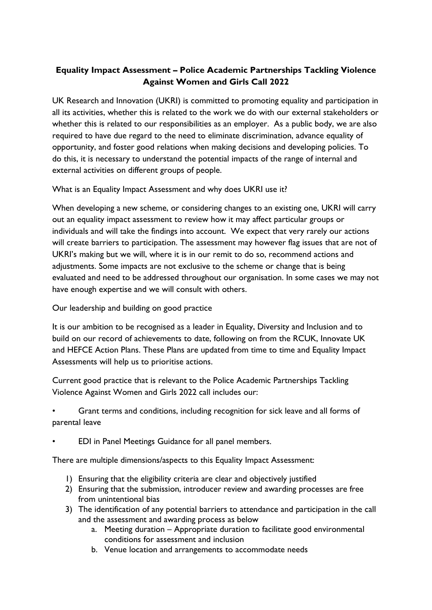## **Equality Impact Assessment – Police Academic Partnerships Tackling Violence Against Women and Girls Call 2022**

UK Research and Innovation (UKRI) is committed to promoting equality and participation in all its activities, whether this is related to the work we do with our external stakeholders or whether this is related to our responsibilities as an employer. As a public body, we are also required to have due regard to the need to eliminate discrimination, advance equality of opportunity, and foster good relations when making decisions and developing policies. To do this, it is necessary to understand the potential impacts of the range of internal and external activities on different groups of people.

What is an Equality Impact Assessment and why does UKRI use it?

When developing a new scheme, or considering changes to an existing one, UKRI will carry out an equality impact assessment to review how it may affect particular groups or individuals and will take the findings into account. We expect that very rarely our actions will create barriers to participation. The assessment may however flag issues that are not of UKRI's making but we will, where it is in our remit to do so, recommend actions and adjustments. Some impacts are not exclusive to the scheme or change that is being evaluated and need to be addressed throughout our organisation. In some cases we may not have enough expertise and we will consult with others.

Our leadership and building on good practice

It is our ambition to be recognised as a leader in Equality, Diversity and Inclusion and to build on our record of achievements to date, following on from the RCUK, Innovate UK and HEFCE Action Plans. These Plans are updated from time to time and Equality Impact Assessments will help us to prioritise actions.

Current good practice that is relevant to the Police Academic Partnerships Tackling Violence Against Women and Girls 2022 call includes our:

• Grant terms and conditions, including recognition for sick leave and all forms of parental leave

• EDI in Panel Meetings Guidance for all panel members.

There are multiple dimensions/aspects to this Equality Impact Assessment:

- 1) Ensuring that the eligibility criteria are clear and objectively justified
- 2) Ensuring that the submission, introducer review and awarding processes are free from unintentional bias
- 3) The identification of any potential barriers to attendance and participation in the call and the assessment and awarding process as below
	- a. Meeting duration Appropriate duration to facilitate good environmental conditions for assessment and inclusion
	- b. Venue location and arrangements to accommodate needs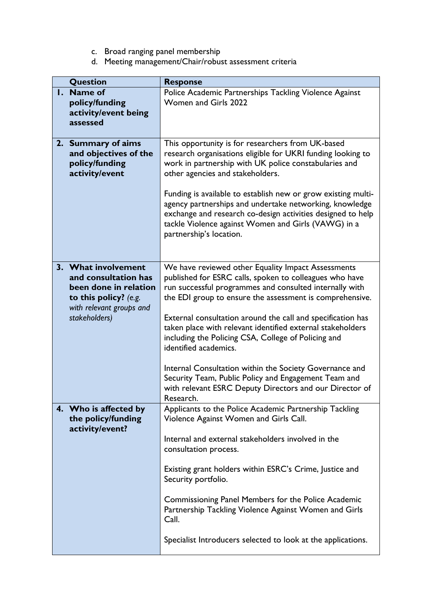- c. Broad ranging panel membership
- d. Meeting management/Chair/robust assessment criteria

| Question                 | <b>Response</b>                                               |
|--------------------------|---------------------------------------------------------------|
| I. Name of               | Police Academic Partnerships Tackling Violence Against        |
| policy/funding           | Women and Girls 2022                                          |
| activity/event being     |                                                               |
| assessed                 |                                                               |
|                          |                                                               |
|                          |                                                               |
| 2. Summary of aims       | This opportunity is for researchers from UK-based             |
| and objectives of the    | research organisations eligible for UKRI funding looking to   |
| policy/funding           | work in partnership with UK police constabularies and         |
| activity/event           | other agencies and stakeholders.                              |
|                          |                                                               |
|                          | Funding is available to establish new or grow existing multi- |
|                          | agency partnerships and undertake networking, knowledge       |
|                          | exchange and research co-design activities designed to help   |
|                          |                                                               |
|                          | tackle Violence against Women and Girls (VAWG) in a           |
|                          | partnership's location.                                       |
|                          |                                                               |
|                          |                                                               |
| 3. What involvement      | We have reviewed other Equality Impact Assessments            |
| and consultation has     | published for ESRC calls, spoken to colleagues who have       |
| been done in relation    | run successful programmes and consulted internally with       |
| to this policy? (e.g.    | the EDI group to ensure the assessment is comprehensive.      |
|                          |                                                               |
| with relevant groups and |                                                               |
| stakeholders)            | External consultation around the call and specification has   |
|                          | taken place with relevant identified external stakeholders    |
|                          | including the Policing CSA, College of Policing and           |
|                          | identified academics.                                         |
|                          |                                                               |
|                          | Internal Consultation within the Society Governance and       |
|                          | Security Team, Public Policy and Engagement Team and          |
|                          | with relevant ESRC Deputy Directors and our Director of       |
|                          | Research.                                                     |
| 4. Who is affected by    | Applicants to the Police Academic Partnership Tackling        |
|                          | Violence Against Women and Girls Call.                        |
| the policy/funding       |                                                               |
| activity/event?          |                                                               |
|                          | Internal and external stakeholders involved in the            |
|                          | consultation process.                                         |
|                          |                                                               |
|                          | Existing grant holders within ESRC's Crime, Justice and       |
|                          | Security portfolio.                                           |
|                          |                                                               |
|                          | Commissioning Panel Members for the Police Academic           |
|                          | Partnership Tackling Violence Against Women and Girls         |
|                          | Call.                                                         |
|                          |                                                               |
|                          |                                                               |
|                          | Specialist Introducers selected to look at the applications.  |
|                          |                                                               |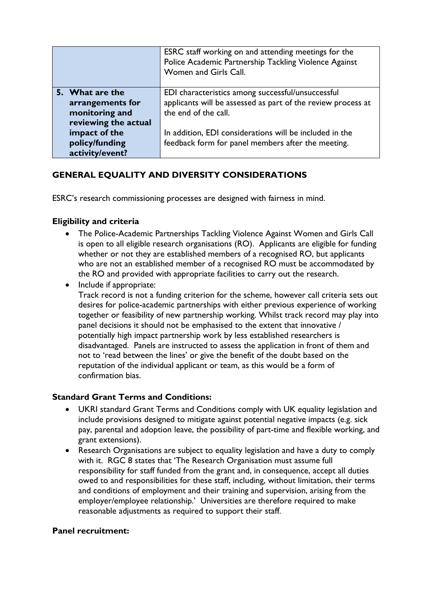|                      | ESRC staff working on and attending meetings for the<br>Police Academic Partnership Tackling Violence Against<br>Women and Girls Call. |
|----------------------|----------------------------------------------------------------------------------------------------------------------------------------|
| 5. What are the      | EDI characteristics among successful/unsuccessful                                                                                      |
| arrangements for     | applicants will be assessed as part of the review process at                                                                           |
| monitoring and       | the end of the call.                                                                                                                   |
| reviewing the actual |                                                                                                                                        |
| impact of the        | In addition, EDI considerations will be included in the                                                                                |
| policy/funding       | feedback form for panel members after the meeting.                                                                                     |
| activity/event?      |                                                                                                                                        |

# **GENERAL EQUALITY AND DIVERSITY CONSIDERATIONS**

ESRC's research commissioning processes are designed with fairness in mind.

### **Eligibility and criteria**

- The Police-Academic Partnerships Tackling Violence Against Women and Girls Call is open to all eligible research organisations (RO). Applicants are eligible for funding whether or not they are established members of a recognised RO, but applicants who are not an established member of a recognised RO must be accommodated by the RO and provided with appropriate facilities to carry out the research.
- Include if appropriate: Track record is not a funding criterion for the scheme, however call criteria sets out desires for police-academic partnerships with either previous experience of working together or feasibility of new partnership working. Whilst track record may play into panel decisions it should not be emphasised to the extent that innovative / potentially high impact partnership work by less established researchers is disadvantaged. Panels are instructed to assess the application in front of them and not to 'read between the lines' or give the benefit of the doubt based on the reputation of the individual applicant or team, as this would be a form of confirmation bias.

### **Standard Grant Terms and Conditions:**

- UKRI standard Grant Terms and Conditions comply with UK equality legislation and include provisions designed to mitigate against potential negative impacts (e.g. sick pay, parental and adoption leave, the possibility of part-time and flexible working, and grant extensions).
- Research Organisations are subject to equality legislation and have a duty to comply with it. RGC 8 states that 'The Research Organisation must assume full responsibility for staff funded from the grant and, in consequence, accept all duties owed to and responsibilities for these staff, including, without limitation, their terms and conditions of employment and their training and supervision, arising from the employer/employee relationship.' Universities are therefore required to make reasonable adjustments as required to support their staff.

#### **Panel recruitment:**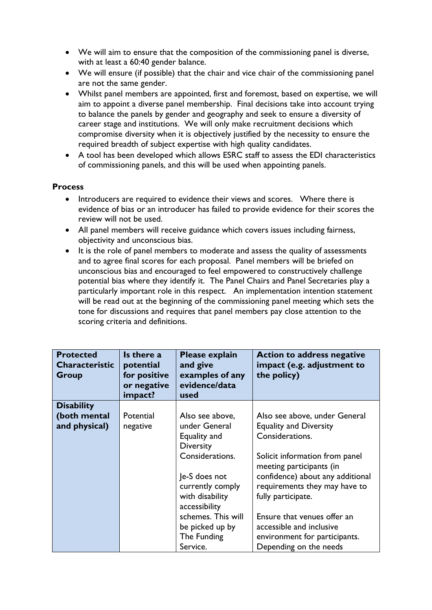- We will aim to ensure that the composition of the commissioning panel is diverse, with at least a 60:40 gender balance.
- We will ensure (if possible) that the chair and vice chair of the commissioning panel are not the same gender.
- Whilst panel members are appointed, first and foremost, based on expertise, we will aim to appoint a diverse panel membership. Final decisions take into account trying to balance the panels by gender and geography and seek to ensure a diversity of career stage and institutions. We will only make recruitment decisions which compromise diversity when it is objectively justified by the necessity to ensure the required breadth of subject expertise with high quality candidates.
- A tool has been developed which allows ESRC staff to assess the EDI characteristics of commissioning panels, and this will be used when appointing panels.

#### **Process**

- Introducers are required to evidence their views and scores. Where there is evidence of bias or an introducer has failed to provide evidence for their scores the review will not be used.
- All panel members will receive guidance which covers issues including fairness, objectivity and unconscious bias.
- It is the role of panel members to moderate and assess the quality of assessments and to agree final scores for each proposal. Panel members will be briefed on unconscious bias and encouraged to feel empowered to constructively challenge potential bias where they identify it. The Panel Chairs and Panel Secretaries play a particularly important role in this respect. An implementation intention statement will be read out at the beginning of the commissioning panel meeting which sets the tone for discussions and requires that panel members pay close attention to the scoring criteria and definitions.

| <b>Protected</b><br><b>Characteristic</b><br>Group | Is there a<br>potential<br>for positive<br>or negative<br>impact? | Please explain<br>and give<br>examples of any<br>evidence/data<br>used | <b>Action to address negative</b><br>impact (e.g. adjustment to<br>the policy) |
|----------------------------------------------------|-------------------------------------------------------------------|------------------------------------------------------------------------|--------------------------------------------------------------------------------|
| <b>Disability</b>                                  |                                                                   |                                                                        |                                                                                |
| (both mental                                       | Potential                                                         | Also see above,                                                        | Also see above, under General                                                  |
| and physical)                                      | negative                                                          | under General                                                          | <b>Equality and Diversity</b>                                                  |
|                                                    |                                                                   | Equality and<br><b>Diversity</b>                                       | Considerations.                                                                |
|                                                    |                                                                   | Considerations.                                                        | Solicit information from panel<br>meeting participants (in                     |
|                                                    |                                                                   | Je-S does not                                                          | confidence) about any additional                                               |
|                                                    |                                                                   | currently comply                                                       | requirements they may have to                                                  |
|                                                    |                                                                   | with disability<br>accessibility                                       | fully participate.                                                             |
|                                                    |                                                                   | schemes. This will                                                     | Ensure that venues offer an                                                    |
|                                                    |                                                                   | be picked up by                                                        | accessible and inclusive                                                       |
|                                                    |                                                                   | The Funding                                                            | environment for participants.                                                  |
|                                                    |                                                                   | Service.                                                               | Depending on the needs                                                         |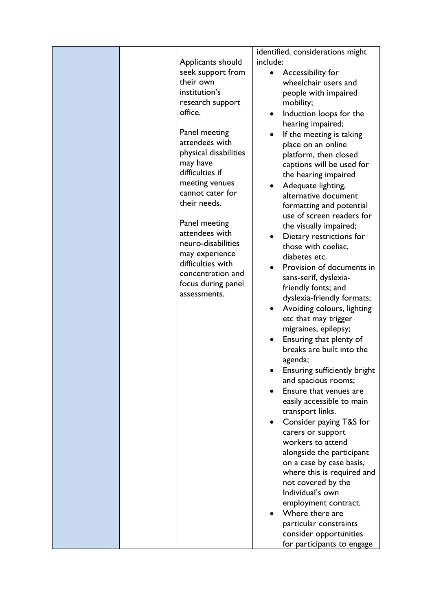|  |                       | identified, considerations might |
|--|-----------------------|----------------------------------|
|  | Applicants should     | include:                         |
|  | seek support from     | Accessibility for                |
|  | their own             | wheelchair users and             |
|  | institution's         | people with impaired             |
|  | research support      | mobility;                        |
|  | office.               | Induction loops for the          |
|  |                       | hearing impaired;                |
|  | Panel meeting         | If the meeting is taking         |
|  | attendees with        | place on an online               |
|  | physical disabilities | platform, then closed            |
|  | may have              | captions will be used for        |
|  | difficulties if       | the hearing impaired             |
|  | meeting venues        | Adequate lighting,               |
|  | cannot cater for      | alternative document             |
|  | their needs.          | formatting and potential         |
|  |                       | use of screen readers for        |
|  | Panel meeting         | the visually impaired;           |
|  | attendees with        | Dietary restrictions for         |
|  | neuro-disabilities    | those with coeliac,              |
|  | may experience        | diabetes etc.                    |
|  | difficulties with     | Provision of documents in        |
|  | concentration and     | sans-serif, dyslexia-            |
|  | focus during panel    | friendly fonts; and              |
|  | assessments.          | dyslexia-friendly formats;       |
|  |                       | Avoiding colours, lighting       |
|  |                       | etc that may trigger             |
|  |                       | migraines, epilepsy;             |
|  |                       | Ensuring that plenty of          |
|  |                       | breaks are built into the        |
|  |                       | agenda;                          |
|  |                       | Ensuring sufficiently bright     |
|  |                       | and spacious rooms;              |
|  |                       | Ensure that venues are           |
|  |                       | easily accessible to main        |
|  |                       | transport links.                 |
|  |                       | Consider paying T&S for          |
|  |                       | carers or support                |
|  |                       | workers to attend                |
|  |                       | alongside the participant        |
|  |                       | on a case by case basis,         |
|  |                       | where this is required and       |
|  |                       | not covered by the               |
|  |                       | Individual's own                 |
|  |                       | employment contract.             |
|  |                       | Where there are                  |
|  |                       | particular constraints           |
|  |                       | consider opportunities           |
|  |                       | for participants to engage       |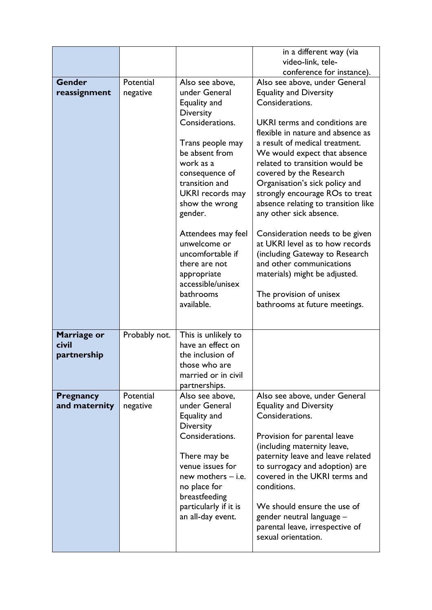|                                     |                       |                                                                                                                                                                                                                                                                                                                                                | in a different way (via<br>video-link, tele-                                                                                                                                                                                                                                                                                                                                                                                                                                                                                                                                                       |
|-------------------------------------|-----------------------|------------------------------------------------------------------------------------------------------------------------------------------------------------------------------------------------------------------------------------------------------------------------------------------------------------------------------------------------|----------------------------------------------------------------------------------------------------------------------------------------------------------------------------------------------------------------------------------------------------------------------------------------------------------------------------------------------------------------------------------------------------------------------------------------------------------------------------------------------------------------------------------------------------------------------------------------------------|
|                                     |                       |                                                                                                                                                                                                                                                                                                                                                | conference for instance).                                                                                                                                                                                                                                                                                                                                                                                                                                                                                                                                                                          |
|                                     |                       |                                                                                                                                                                                                                                                                                                                                                |                                                                                                                                                                                                                                                                                                                                                                                                                                                                                                                                                                                                    |
| <b>Gender</b><br>reassignment       | Potential<br>negative | Also see above,<br>under General<br>Equality and<br><b>Diversity</b><br>Considerations.<br>Trans people may<br>be absent from<br>work as a<br>consequence of<br>transition and<br>UKRI records may<br>show the wrong<br>gender.<br>Attendees may feel<br>unwelcome or<br>uncomfortable if<br>there are not<br>appropriate<br>accessible/unisex | Also see above, under General<br><b>Equality and Diversity</b><br>Considerations.<br>UKRI terms and conditions are<br>flexible in nature and absence as<br>a result of medical treatment.<br>We would expect that absence<br>related to transition would be<br>covered by the Research<br>Organisation's sick policy and<br>strongly encourage ROs to treat<br>absence relating to transition like<br>any other sick absence.<br>Consideration needs to be given<br>at UKRI level as to how records<br>(including Gateway to Research<br>and other communications<br>materials) might be adjusted. |
|                                     |                       | bathrooms<br>available.                                                                                                                                                                                                                                                                                                                        | The provision of unisex<br>bathrooms at future meetings.                                                                                                                                                                                                                                                                                                                                                                                                                                                                                                                                           |
| Marriage or<br>civil<br>partnership | Probably not.         | This is unlikely to<br>have an effect on<br>the inclusion of<br>those who are<br>married or in civil<br>partnerships.                                                                                                                                                                                                                          |                                                                                                                                                                                                                                                                                                                                                                                                                                                                                                                                                                                                    |
| Pregnancy<br>and maternity          | Potential<br>negative | Also see above,<br>under General<br>Equality and<br><b>Diversity</b><br>Considerations.<br>There may be<br>venue issues for<br>new mothers $-$ i.e.<br>no place for<br>breastfeeding<br>particularly if it is<br>an all-day event.                                                                                                             | Also see above, under General<br><b>Equality and Diversity</b><br>Considerations.<br>Provision for parental leave<br>(including maternity leave,<br>paternity leave and leave related<br>to surrogacy and adoption) are<br>covered in the UKRI terms and<br>conditions.<br>We should ensure the use of<br>gender neutral language -<br>parental leave, irrespective of<br>sexual orientation.                                                                                                                                                                                                      |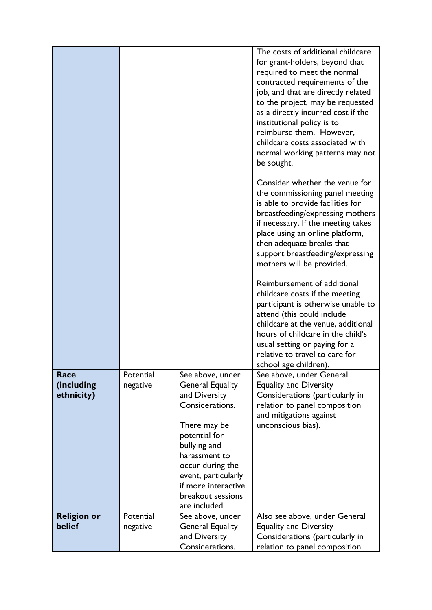|                                  |                       |                                                                                                                                                                                                                                                           | The costs of additional childcare<br>for grant-holders, beyond that<br>required to meet the normal<br>contracted requirements of the<br>job, and that are directly related<br>to the project, may be requested<br>as a directly incurred cost if the<br>institutional policy is to<br>reimburse them. However,<br>childcare costs associated with<br>normal working patterns may not<br>be sought.<br>Consider whether the venue for<br>the commissioning panel meeting<br>is able to provide facilities for<br>breastfeeding/expressing mothers<br>if necessary. If the meeting takes<br>place using an online platform,<br>then adequate breaks that<br>support breastfeeding/expressing<br>mothers will be provided.<br>Reimbursement of additional<br>childcare costs if the meeting<br>participant is otherwise unable to<br>attend (this could include<br>childcare at the venue, additional<br>hours of childcare in the child's<br>usual setting or paying for a<br>relative to travel to care for |
|----------------------------------|-----------------------|-----------------------------------------------------------------------------------------------------------------------------------------------------------------------------------------------------------------------------------------------------------|------------------------------------------------------------------------------------------------------------------------------------------------------------------------------------------------------------------------------------------------------------------------------------------------------------------------------------------------------------------------------------------------------------------------------------------------------------------------------------------------------------------------------------------------------------------------------------------------------------------------------------------------------------------------------------------------------------------------------------------------------------------------------------------------------------------------------------------------------------------------------------------------------------------------------------------------------------------------------------------------------------|
| Race<br>(including<br>ethnicity) | Potential<br>negative | See above, under<br><b>General Equality</b><br>and Diversity<br>Considerations.<br>There may be<br>potential for<br>bullying and<br>harassment to<br>occur during the<br>event, particularly<br>if more interactive<br>breakout sessions<br>are included. | school age children).<br>See above, under General<br><b>Equality and Diversity</b><br>Considerations (particularly in<br>relation to panel composition<br>and mitigations against<br>unconscious bias).                                                                                                                                                                                                                                                                                                                                                                                                                                                                                                                                                                                                                                                                                                                                                                                                    |
| <b>Religion or</b><br>belief     | Potential<br>negative | See above, under<br><b>General Equality</b><br>and Diversity<br>Considerations.                                                                                                                                                                           | Also see above, under General<br><b>Equality and Diversity</b><br>Considerations (particularly in<br>relation to panel composition                                                                                                                                                                                                                                                                                                                                                                                                                                                                                                                                                                                                                                                                                                                                                                                                                                                                         |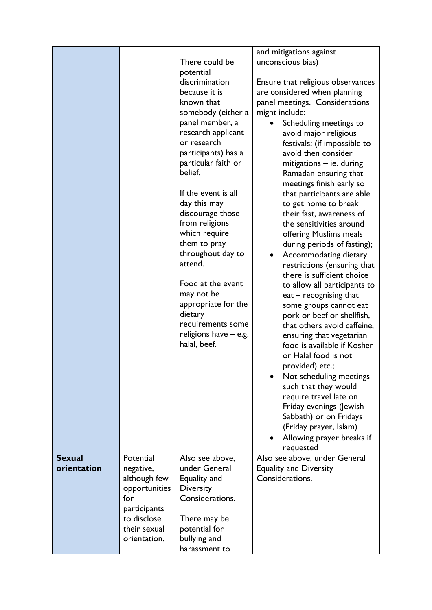|               |               |                       | and mitigations against                          |
|---------------|---------------|-----------------------|--------------------------------------------------|
|               |               | There could be        | unconscious bias)                                |
|               |               | potential             |                                                  |
|               |               | discrimination        | Ensure that religious observances                |
|               |               | because it is         | are considered when planning                     |
|               |               | known that            | panel meetings. Considerations                   |
|               |               | somebody (either a    | might include:                                   |
|               |               | panel member, a       | Scheduling meetings to                           |
|               |               | research applicant    | avoid major religious                            |
|               |               | or research           | festivals; (if impossible to                     |
|               |               | participants) has a   | avoid then consider                              |
|               |               | particular faith or   | mitigations - ie. during                         |
|               |               | belief.               | Ramadan ensuring that                            |
|               |               | If the event is all   | meetings finish early so                         |
|               |               | day this may          | that participants are able                       |
|               |               | discourage those      | to get home to break<br>their fast, awareness of |
|               |               | from religions        | the sensitivities around                         |
|               |               | which require         | offering Muslims meals                           |
|               |               | them to pray          | during periods of fasting);                      |
|               |               | throughout day to     | Accommodating dietary                            |
|               |               | attend.               | restrictions (ensuring that                      |
|               |               |                       | there is sufficient choice                       |
|               |               | Food at the event     | to allow all participants to                     |
|               |               | may not be            | $ext - recognising that$                         |
|               |               | appropriate for the   | some groups cannot eat                           |
|               |               | dietary               | pork or beef or shellfish,                       |
|               |               | requirements some     | that others avoid caffeine,                      |
|               |               | religions have - e.g. | ensuring that vegetarian                         |
|               |               | halal, beef.          | food is available if Kosher                      |
|               |               |                       | or Halal food is not                             |
|               |               |                       | provided) etc.;                                  |
|               |               |                       | Not scheduling meetings                          |
|               |               |                       | such that they would                             |
|               |               |                       | require travel late on                           |
|               |               |                       | Friday evenings (Jewish                          |
|               |               |                       | Sabbath) or on Fridays                           |
|               |               |                       | (Friday prayer, Islam)                           |
|               |               |                       | Allowing prayer breaks if<br>requested           |
| <b>Sexual</b> | Potential     | Also see above,       | Also see above, under General                    |
| orientation   | negative,     | under General         | <b>Equality and Diversity</b>                    |
|               | although few  | Equality and          | Considerations.                                  |
|               | opportunities | Diversity             |                                                  |
|               | for           | Considerations.       |                                                  |
|               | participants  |                       |                                                  |
|               | to disclose   | There may be          |                                                  |
|               | their sexual  | potential for         |                                                  |
|               | orientation.  | bullying and          |                                                  |
|               |               | harassment to         |                                                  |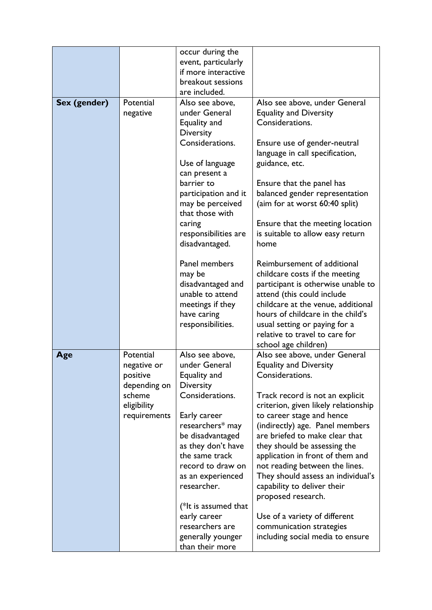|              |                                                                                               | occur during the<br>event, particularly<br>if more interactive<br>breakout sessions<br>are included.                                                                                                                                                                                                                                                                                     |                                                                                                                                                                                                                                                                                                                                                                                                                                                                                                                                                                                                          |
|--------------|-----------------------------------------------------------------------------------------------|------------------------------------------------------------------------------------------------------------------------------------------------------------------------------------------------------------------------------------------------------------------------------------------------------------------------------------------------------------------------------------------|----------------------------------------------------------------------------------------------------------------------------------------------------------------------------------------------------------------------------------------------------------------------------------------------------------------------------------------------------------------------------------------------------------------------------------------------------------------------------------------------------------------------------------------------------------------------------------------------------------|
| Sex (gender) | Potential<br>negative                                                                         | Also see above,<br>under General<br>Equality and<br><b>Diversity</b><br>Considerations.<br>Use of language<br>can present a<br>barrier to<br>participation and it<br>may be perceived<br>that those with<br>caring<br>responsibilities are<br>disadvantaged.<br>Panel members<br>may be<br>disadvantaged and<br>unable to attend<br>meetings if they<br>have caring<br>responsibilities. | Also see above, under General<br><b>Equality and Diversity</b><br>Considerations.<br>Ensure use of gender-neutral<br>language in call specification,<br>guidance, etc.<br>Ensure that the panel has<br>balanced gender representation<br>(aim for at worst 60:40 split)<br>Ensure that the meeting location<br>is suitable to allow easy return<br>home<br>Reimbursement of additional<br>childcare costs if the meeting<br>participant is otherwise unable to<br>attend (this could include<br>childcare at the venue, additional<br>hours of childcare in the child's<br>usual setting or paying for a |
|              |                                                                                               |                                                                                                                                                                                                                                                                                                                                                                                          | relative to travel to care for<br>school age children)                                                                                                                                                                                                                                                                                                                                                                                                                                                                                                                                                   |
| Age          | Potential<br>negative or<br>positive<br>depending on<br>scheme<br>eligibility<br>requirements | Also see above.<br>under General<br>Equality and<br><b>Diversity</b><br>Considerations.<br>Early career<br>researchers* may<br>be disadvantaged<br>as they don't have<br>the same track<br>record to draw on<br>as an experienced<br>researcher.<br>(*It is assumed that<br>early career<br>researchers are<br>generally younger<br>than their more                                      | Also see above, under General<br><b>Equality and Diversity</b><br>Considerations.<br>Track record is not an explicit<br>criterion, given likely relationship<br>to career stage and hence<br>(indirectly) age. Panel members<br>are briefed to make clear that<br>they should be assessing the<br>application in front of them and<br>not reading between the lines.<br>They should assess an individual's<br>capability to deliver their<br>proposed research.<br>Use of a variety of different<br>communication strategies<br>including social media to ensure                                         |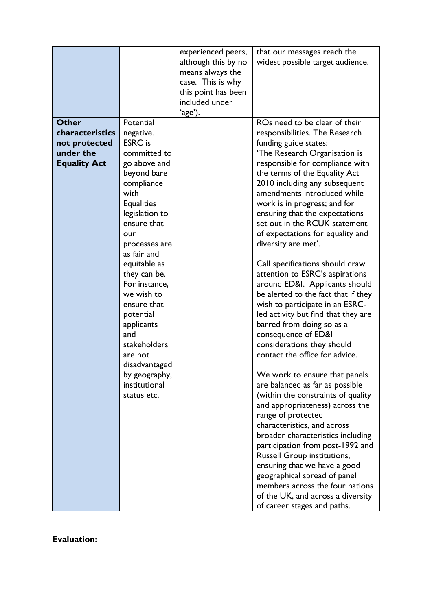|                     |                                     | experienced peers,<br>although this by no<br>means always the<br>case. This is why<br>this point has been | that our messages reach the<br>widest possible target audience.        |
|---------------------|-------------------------------------|-----------------------------------------------------------------------------------------------------------|------------------------------------------------------------------------|
|                     |                                     | included under<br>ʻage').                                                                                 |                                                                        |
| <b>Other</b>        | Potential                           |                                                                                                           | ROs need to be clear of their                                          |
| characteristics     | negative.                           |                                                                                                           | responsibilities. The Research                                         |
| not protected       | <b>ESRC</b> is                      |                                                                                                           | funding guide states:                                                  |
| under the           | committed to                        |                                                                                                           | 'The Research Organisation is                                          |
| <b>Equality Act</b> | go above and                        |                                                                                                           | responsible for compliance with                                        |
|                     | beyond bare                         |                                                                                                           | the terms of the Equality Act                                          |
|                     | compliance                          |                                                                                                           | 2010 including any subsequent                                          |
|                     | with                                |                                                                                                           | amendments introduced while                                            |
|                     | <b>Equalities</b><br>legislation to |                                                                                                           | work is in progress; and for<br>ensuring that the expectations         |
|                     | ensure that                         |                                                                                                           | set out in the RCUK statement                                          |
|                     | our                                 |                                                                                                           | of expectations for equality and                                       |
|                     | processes are                       |                                                                                                           | diversity are met'.                                                    |
|                     | as fair and                         |                                                                                                           |                                                                        |
|                     | equitable as                        |                                                                                                           | Call specifications should draw                                        |
|                     | they can be.                        |                                                                                                           | attention to ESRC's aspirations                                        |
|                     | For instance,                       |                                                                                                           | around ED&I. Applicants should                                         |
|                     | we wish to<br>ensure that           |                                                                                                           | be alerted to the fact that if they                                    |
|                     | potential                           |                                                                                                           | wish to participate in an ESRC-<br>led activity but find that they are |
|                     | applicants                          |                                                                                                           | barred from doing so as a                                              |
|                     | and                                 |                                                                                                           | consequence of ED&I                                                    |
|                     | stakeholders                        |                                                                                                           | considerations they should                                             |
|                     | are not                             |                                                                                                           | contact the office for advice.                                         |
|                     | disadvantaged                       |                                                                                                           |                                                                        |
|                     | by geography,                       |                                                                                                           | We work to ensure that panels                                          |
|                     | institutional                       |                                                                                                           | are balanced as far as possible                                        |
|                     | status etc.                         |                                                                                                           | (within the constraints of quality                                     |
|                     |                                     |                                                                                                           | and appropriateness) across the                                        |
|                     |                                     |                                                                                                           | range of protected<br>characteristics, and across                      |
|                     |                                     |                                                                                                           | broader characteristics including                                      |
|                     |                                     |                                                                                                           | participation from post-1992 and                                       |
|                     |                                     |                                                                                                           | <b>Russell Group institutions,</b>                                     |
|                     |                                     |                                                                                                           | ensuring that we have a good                                           |
|                     |                                     |                                                                                                           | geographical spread of panel                                           |
|                     |                                     |                                                                                                           | members across the four nations                                        |
|                     |                                     |                                                                                                           | of the UK, and across a diversity                                      |
|                     |                                     |                                                                                                           | of career stages and paths.                                            |

**Evaluation:**